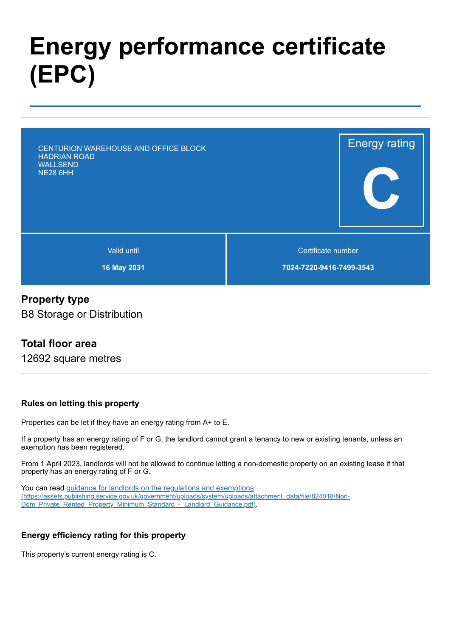# **Energy performance certificate (EPC)**

Energy rating **C** Valid until **16 May 2031** Certificate number **7024-7220-9416-7499-3543** CENTURION WAREHOUSE AND OFFICE BLOCK HADRIAN ROAD WALLSEND NE28 6HH

## **Property type**

B8 Storage or Distribution

# **Total floor area**

12692 square metres

#### **Rules on letting this property**

Properties can be let if they have an energy rating from A+ to E.

If a property has an energy rating of F or G, the landlord cannot grant a tenancy to new or existing tenants, unless an exemption has been registered.

From 1 April 2023, landlords will not be allowed to continue letting a non-domestic property on an existing lease if that property has an energy rating of F or G.

You can read guidance for landlords on the regulations and exemptions [\(https://assets.publishing.service.gov.uk/government/uploads/system/uploads/attachment\\_data/file/824018/Non-](https://assets.publishing.service.gov.uk/government/uploads/system/uploads/attachment_data/file/824018/Non-Dom_Private_Rented_Property_Minimum_Standard_-_Landlord_Guidance.pdf)Dom\_Private\_Rented\_Property\_Minimum\_Standard - Landlord\_Guidance.pdf).

#### **Energy efficiency rating for this property**

This property's current energy rating is C.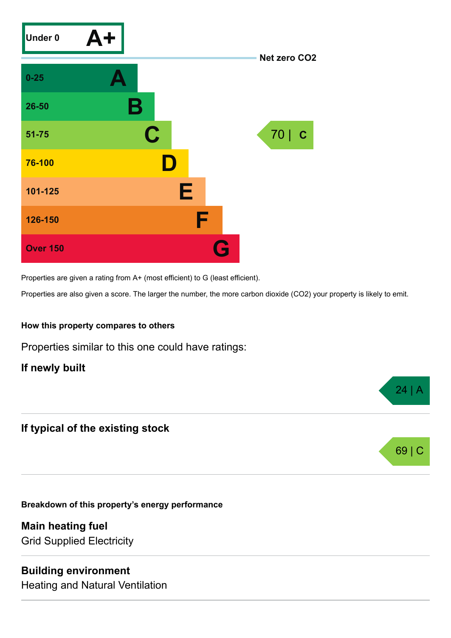

Properties are given a rating from A+ (most efficient) to G (least efficient).

Properties are also given a score. The larger the number, the more carbon dioxide (CO2) your property is likely to emit.

 $24$  |  $\beta$ 

69 | C

#### **How this property compares to others**

Properties similar to this one could have ratings:

**If newly built**

# **If typical of the existing stock**

**Breakdown of this property's energy performance**

**Main heating fuel** Grid Supplied Electricity

### **Building environment**

Heating and Natural Ventilation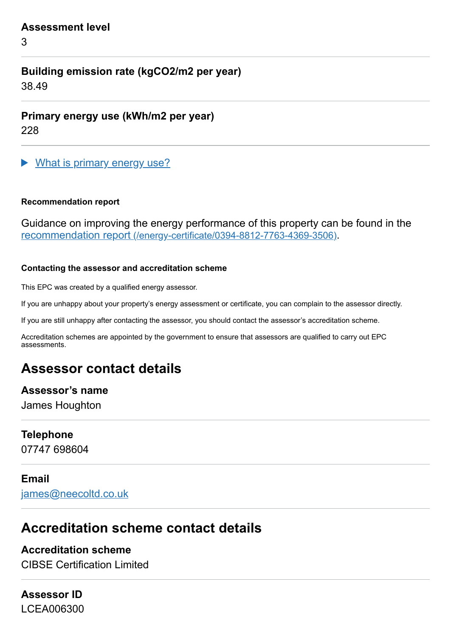#### **Assessment level**

3

# **Building emission rate (kgCO2/m2 per year)**

38.49

**Primary energy use (kWh/m2 per year)**

228

What is primary energy use?  $\blacktriangleright$ 

#### **Recommendation report**

Guidance on improving the energy performance of this property can be found in the recommendation report [\(/energy-certificate/0394-8812-7763-4369-3506\)](https://find-energy-certificate.digital.communities.gov.uk/energy-certificate/0394-8812-7763-4369-3506).

#### **Contacting the assessor and accreditation scheme**

This EPC was created by a qualified energy assessor.

If you are unhappy about your property's energy assessment or certificate, you can complain to the assessor directly.

If you are still unhappy after contacting the assessor, you should contact the assessor's accreditation scheme.

Accreditation schemes are appointed by the government to ensure that assessors are qualified to carry out EPC assessments.

# **Assessor contact details**

# **Assessor's name**

James Houghton

# **Telephone**

07747 698604

# **Email**

[james@neecoltd.co.uk](mailto:james@neecoltd.co.uk)

# **Accreditation scheme contact details**

# **Accreditation scheme**

CIBSE Certification Limited

# **Assessor ID** LCEA006300